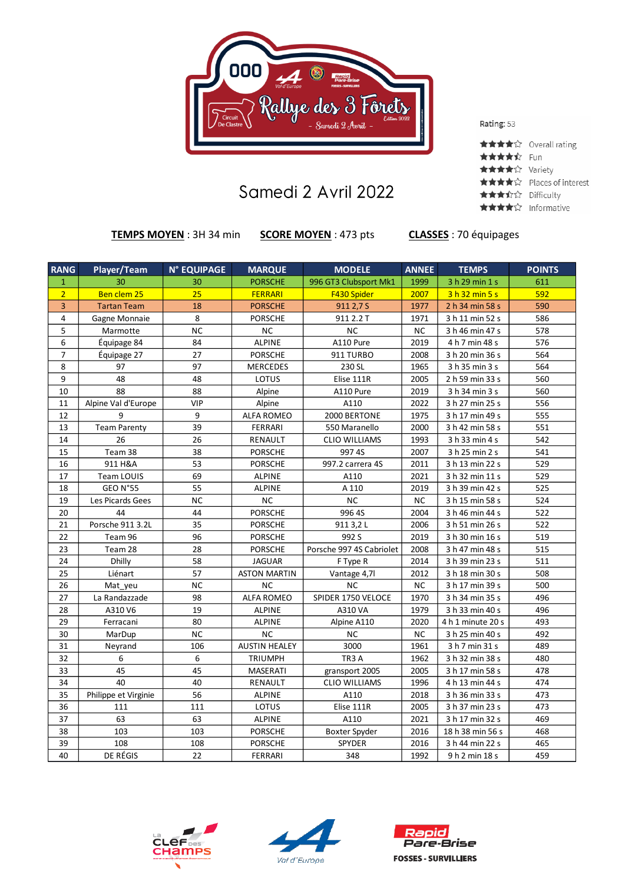

## Samedi 2 Avril 2022

Rating: 53

|                   | ★★★★☆ Overall rating     |
|-------------------|--------------------------|
| <b>★★★★</b> ☆ Fun |                          |
| ★★★★☆ Variety     |                          |
|                   | ★★★★☆ Places of interest |
| ★★★☆☆ Difficulty  |                          |
| ★★★★☆ Informative |                          |

**TEMPS MOYEN** : 3H 34 min **SCORE MOYEN** : 473 pts **CLASSES** : 70 équipages

| <b>RANG</b>                    | Player/Team          | <b>N° EQUIPAGE</b> | <b>MARQUE</b>        | <b>MODELE</b>            | <b>ANNEE</b> | <b>TEMPS</b>      | <b>POINTS</b>    |
|--------------------------------|----------------------|--------------------|----------------------|--------------------------|--------------|-------------------|------------------|
|                                | 30                   |                    |                      |                          | 1999         |                   |                  |
| $\mathbf{1}$<br>$\overline{2}$ | Ben clem 25          | 30<br>25           | <b>PORSCHE</b>       | 996 GT3 Clubsport Mk1    | 2007         | 3 h 29 min 1 s    | 611<br>592       |
|                                |                      |                    | <b>FERRARI</b>       | F430 Spider              |              | 3h32 min5s        |                  |
| 3                              | <b>Tartan Team</b>   | 18                 | <b>PORSCHE</b>       | 911 2,7 S                | 1977         | 2 h 34 min 58 s   | 590              |
| 4                              | Gagne Monnaie        | 8                  | <b>PORSCHE</b>       | 911 2.2 T                | 1971         | 3 h 11 min 52 s   | 586              |
| 5                              | Marmotte             | <b>NC</b>          | <b>NC</b>            | <b>NC</b>                | <b>NC</b>    | 3 h 46 min 47 s   | 578              |
| 6                              | Équipage 84          | 84                 | <b>ALPINE</b>        | A110 Pure                | 2019         | 4 h 7 min 48 s    | 576              |
| $\overline{7}$                 | Équipage 27          | 27                 | <b>PORSCHE</b>       | 911 TURBO                | 2008         | 3 h 20 min 36 s   | 564              |
| 8                              | 97                   | 97                 | <b>MERCEDES</b>      | 230 SL                   | 1965         | 3 h 35 min 3 s    | 564              |
| 9                              | 48                   | 48                 | LOTUS                | Elise 111R               | 2005         | 2 h 59 min 33 s   | 560              |
| 10                             | 88                   | 88                 | Alpine               | A110 Pure                | 2019         | 3 h 34 min 3 s    | 560              |
| 11                             | Alpine Val d'Europe  | <b>VIP</b>         | Alpine               | A110                     | 2022         | 3 h 27 min 25 s   | 556              |
| 12                             | $\mathbf{q}$         | 9                  | <b>ALFA ROMEO</b>    | 2000 BERTONE             | 1975         | 3 h 17 min 49 s   | 555              |
| 13                             | Team Parenty         | 39                 | <b>FERRARI</b>       | 550 Maranello            | 2000         | 3 h 42 min 58 s   | 551              |
| 14                             | 26                   | 26                 | RENAULT              | <b>CLIO WILLIAMS</b>     | 1993         | 3 h 33 min 4 s    | 542              |
| 15                             | Team 38              | 38                 | <b>PORSCHE</b>       | 997 4S                   | 2007         | 3 h 25 min 2 s    | 541              |
| 16                             | 911 H&A              | 53                 | <b>PORSCHE</b>       | 997.2 carrera 4S         | 2011         | 3 h 13 min 22 s   | 529              |
| 17                             | <b>Team LOUIS</b>    | 69                 | <b>ALPINE</b>        | A110                     | 2021         | 3 h 32 min 11 s   | 529              |
| 18                             | GEO N°55             | 55                 | <b>ALPINE</b>        | A 110                    | 2019         | 3 h 39 min 42 s   | 525              |
| 19                             | Les Picards Gees     | <b>NC</b>          | $NC$                 | NC                       | <b>NC</b>    | 3 h 15 min 58 s   | 524              |
| 20                             | 44                   | 44                 | <b>PORSCHE</b>       | 996 4S                   | 2004         | 3 h 46 min 44 s   | $\overline{522}$ |
| 21                             | Porsche 911 3.2L     | 35                 | <b>PORSCHE</b>       | 911 3,2 L                | 2006         | 3 h 51 min 26 s   | 522              |
| 22                             | Team 96              | 96                 | <b>PORSCHE</b>       | 992 S                    | 2019         | 3 h 30 min 16 s   | 519              |
| 23                             | Team 28              | 28                 | <b>PORSCHE</b>       | Porsche 997 4S Cabriolet | 2008         | 3 h 47 min 48 s   | 515              |
| 24                             | <b>Dhilly</b>        | 58                 | <b>JAGUAR</b>        | F Type R                 | 2014         | 3 h 39 min 23 s   | 511              |
| 25                             | Liénart              | 57                 | <b>ASTON MARTIN</b>  | Vantage 4,7l             | 2012         | 3 h 18 min 30 s   | 508              |
| 26                             | Mat yeu              | <b>NC</b>          | <b>NC</b>            | <b>NC</b>                | <b>NC</b>    | 3 h 17 min 39 s   | 500              |
| 27                             | La Randazzade        | 98                 | <b>ALFA ROMEO</b>    | SPIDER 1750 VELOCE       | 1970         | 3 h 34 min 35 s   | 496              |
| 28                             | A310 V6              | 19                 | <b>ALPINE</b>        | A310 VA                  | 1979         | 3 h 33 min 40 s   | 496              |
| 29                             | Ferracani            | 80                 | ALPINE               | Alpine A110              | 2020         | 4 h 1 minute 20 s | 493              |
| 30                             | MarDup               | <b>NC</b>          | <b>NC</b>            | <b>NC</b>                | <b>NC</b>    | 3 h 25 min 40 s   | 492              |
| 31                             | Neyrand              | 106                | <b>AUSTIN HEALEY</b> | 3000                     | 1961         | 3 h 7 min 31 s    | 489              |
| 32                             | 6                    | 6                  | <b>TRIUMPH</b>       | TR3 A                    | 1962         | 3 h 32 min 38 s   | 480              |
| 33                             | 45                   | 45                 | MASERATI             | gransport 2005           | 2005         | 3 h 17 min 58 s   | 478              |
| 34                             | 40                   | 40                 | RENAULT              | <b>CLIO WILLIAMS</b>     | 1996         | 4 h 13 min 44 s   | 474              |
| 35                             | Philippe et Virginie | 56                 | <b>ALPINE</b>        | A110                     | 2018         | 3 h 36 min 33 s   | 473              |
| 36                             | 111                  | 111                | LOTUS                | Elise 111R               | 2005         | 3 h 37 min 23 s   | 473              |
| 37                             | 63                   | 63                 | <b>ALPINE</b>        | A110                     | 2021         | 3 h 17 min 32 s   | 469              |
| 38                             | 103                  | 103                | <b>PORSCHE</b>       | Boxter Spyder            | 2016         | 18 h 38 min 56 s  | 468              |
| 39                             | 108                  | 108                | <b>PORSCHE</b>       | SPYDER                   | 2016         | 3 h 44 min 22 s   | 465              |
| 40                             | DE RÉGIS             | 22                 | <b>FERRARI</b>       | 348                      | 1992         | 9 h 2 min 18 s    | 459              |